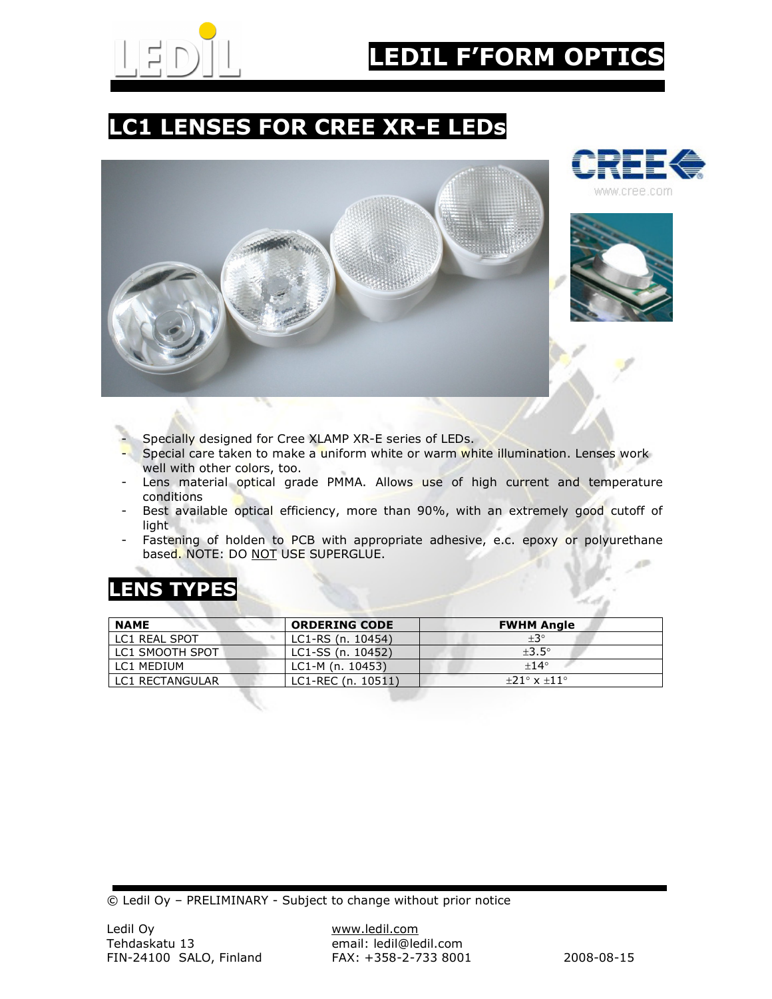

# EDIL F'FORM OPTI

## LC1 LENSES FOR CREE XR-E LEDs







- Specially designed for Cree XLAMP XR-E series of LEDs.
- Special care taken to make a uniform white or warm white illumination. Lenses work well with other colors, too.
- Lens material optical grade PMMA. Allows use of high current and temperature conditions
- Best available optical efficiency, more than 90%, with an extremely good cutoff of light
- Fastening of holden to PCB with appropriate adhesive, e.c. epoxy or polyurethane based. NOTE: DO NOT USE SUPERGLUE.

### LENS TYPES

| <b>NAME</b>     | <b>ORDERING CODE</b> | <b>FWHM Angle</b>             |
|-----------------|----------------------|-------------------------------|
| LC1 REAL SPOT   | LC1-RS (n. 10454)    | $+3^\circ$                    |
| LC1 SMOOTH SPOT | LC1-SS (n. 10452)    | $+3.5^\circ$                  |
| LC1 MEDIUM      | LC1-M (n. 10453)     | $+14^{\circ}$                 |
| LC1 RECTANGULAR | LC1-REC (n. 10511)   | $+21^{\circ}$ x $+11^{\circ}$ |

© Ledil Oy – PRELIMINARY - Subject to change without prior notice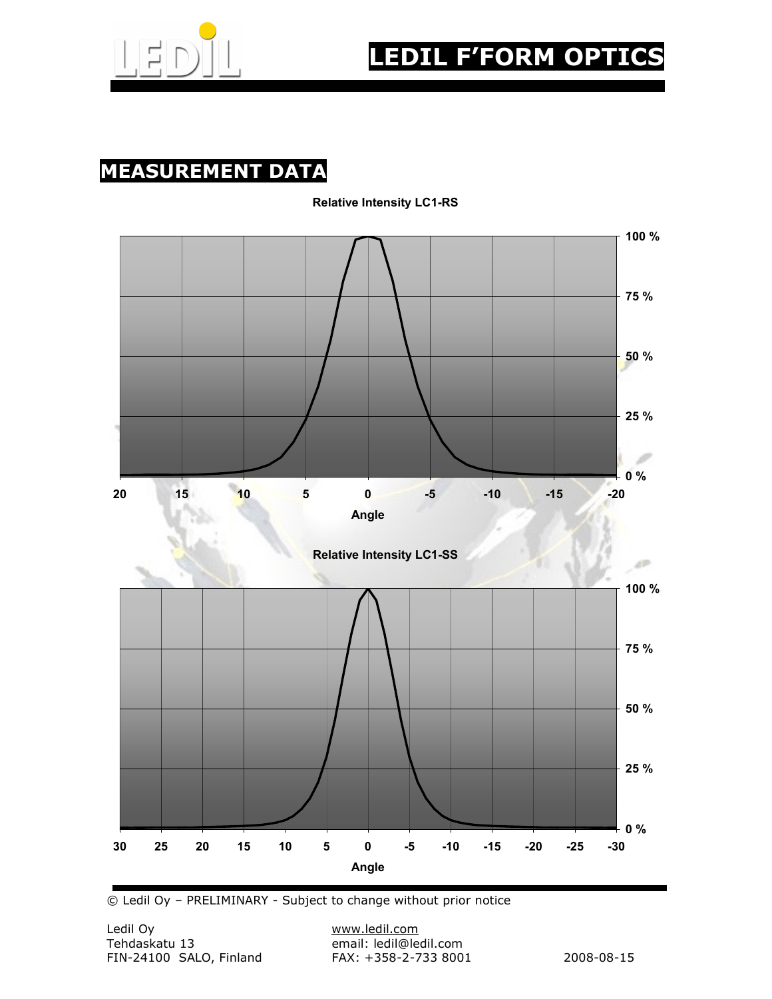

#### MEASUREMENT DATA



Relative Intensity LC1-RS

© Ledil Oy – PRELIMINARY - Subject to change without prior notice

email: ledil@ledil.com<br>FAX: +358-2-733 8001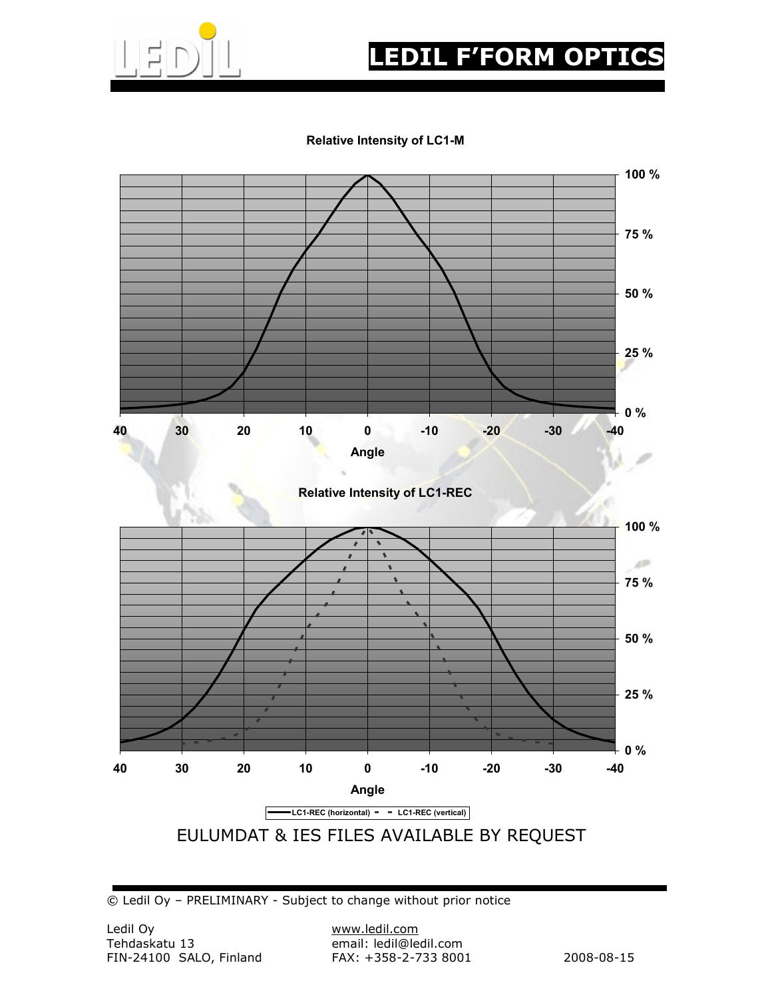

## **EDIL F'FORM OPTIC**

#### Relative Intensity of LC1-M



Relative Intensity of LC1-REC



© Ledil Oy – PRELIMINARY - Subject to change without prior notice

email: ledil@ledil.com<br>FAX: +358-2-733 8001